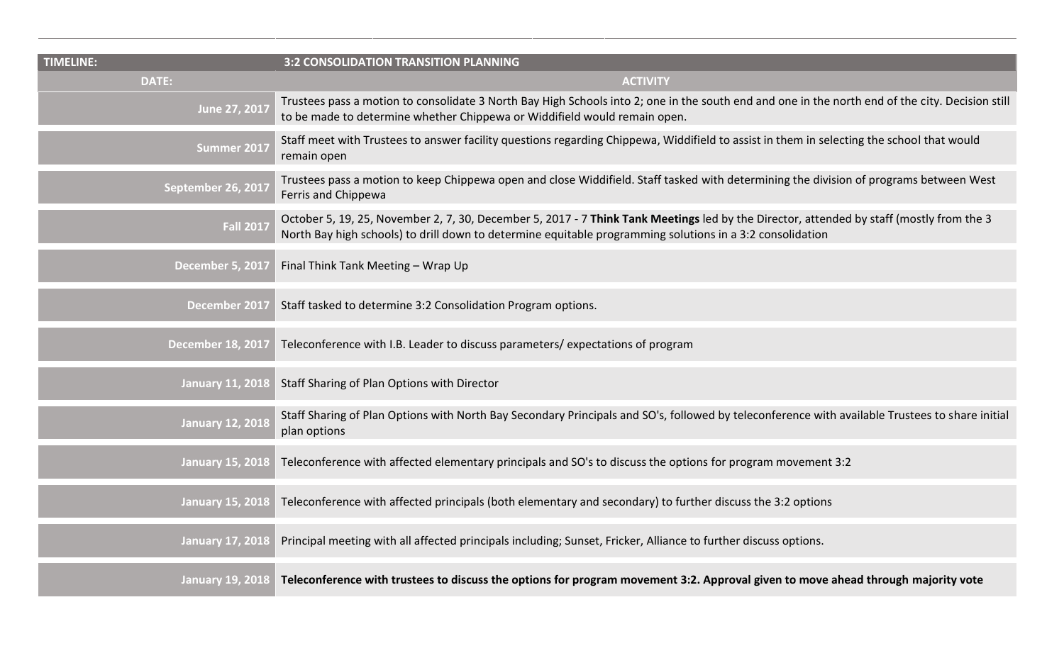| <b>TIMELINE:</b>         | <b>3:2 CONSOLIDATION TRANSITION PLANNING</b>                                                                                                                                                                                                          |
|--------------------------|-------------------------------------------------------------------------------------------------------------------------------------------------------------------------------------------------------------------------------------------------------|
| <b>DATE:</b>             | <b>ACTIVITY</b>                                                                                                                                                                                                                                       |
| June 27, 2017            | Trustees pass a motion to consolidate 3 North Bay High Schools into 2; one in the south end and one in the north end of the city. Decision still<br>to be made to determine whether Chippewa or Widdifield would remain open.                         |
| Summer 2017              | Staff meet with Trustees to answer facility questions regarding Chippewa, Widdifield to assist in them in selecting the school that would<br>remain open                                                                                              |
| September 26, 2017       | Trustees pass a motion to keep Chippewa open and close Widdifield. Staff tasked with determining the division of programs between West<br>Ferris and Chippewa                                                                                         |
| <b>Fall 2017</b>         | October 5, 19, 25, November 2, 7, 30, December 5, 2017 - 7 Think Tank Meetings led by the Director, attended by staff (mostly from the 3<br>North Bay high schools) to drill down to determine equitable programming solutions in a 3:2 consolidation |
| <b>December 5, 2017</b>  | Final Think Tank Meeting - Wrap Up                                                                                                                                                                                                                    |
| December 2017            | Staff tasked to determine 3:2 Consolidation Program options.                                                                                                                                                                                          |
| <b>December 18, 2017</b> | Teleconference with I.B. Leader to discuss parameters/expectations of program                                                                                                                                                                         |
| <b>January 11, 2018</b>  | Staff Sharing of Plan Options with Director                                                                                                                                                                                                           |
| <b>January 12, 2018</b>  | Staff Sharing of Plan Options with North Bay Secondary Principals and SO's, followed by teleconference with available Trustees to share initial<br>plan options                                                                                       |
| <b>January 15, 2018</b>  | Teleconference with affected elementary principals and SO's to discuss the options for program movement 3:2                                                                                                                                           |
| <b>January 15, 2018</b>  | Teleconference with affected principals (both elementary and secondary) to further discuss the 3:2 options                                                                                                                                            |
| <b>January 17, 2018</b>  | Principal meeting with all affected principals including; Sunset, Fricker, Alliance to further discuss options.                                                                                                                                       |
| <b>January 19, 2018</b>  | Teleconference with trustees to discuss the options for program movement 3:2. Approval given to move ahead through majority vote                                                                                                                      |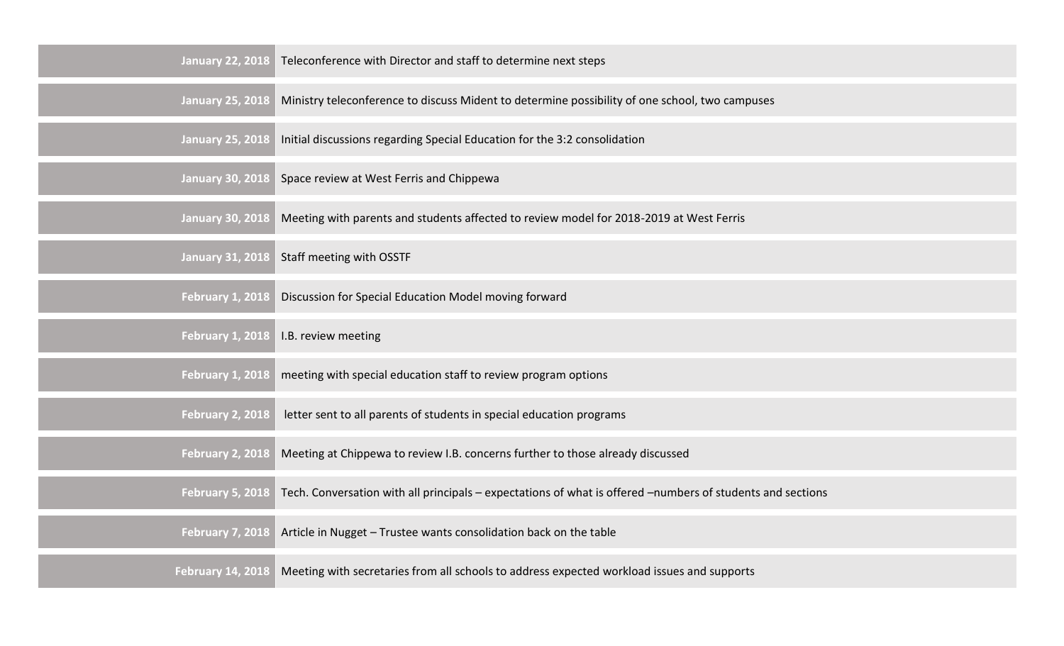| <b>January 22, 2018</b> | Teleconference with Director and staff to determine next steps                                             |
|-------------------------|------------------------------------------------------------------------------------------------------------|
| <b>January 25, 2018</b> | Ministry teleconference to discuss Mident to determine possibility of one school, two campuses             |
| <b>January 25, 2018</b> | Initial discussions regarding Special Education for the 3:2 consolidation                                  |
| <b>January 30, 2018</b> | Space review at West Ferris and Chippewa                                                                   |
| <b>January 30, 2018</b> | Meeting with parents and students affected to review model for 2018-2019 at West Ferris                    |
| <b>January 31, 2018</b> | Staff meeting with OSSTF                                                                                   |
| <b>February 1, 2018</b> | Discussion for Special Education Model moving forward                                                      |
|                         |                                                                                                            |
| <b>February 1, 2018</b> | I.B. review meeting                                                                                        |
| <b>February 1, 2018</b> | meeting with special education staff to review program options                                             |
| <b>February 2, 2018</b> | letter sent to all parents of students in special education programs                                       |
| <b>February 2, 2018</b> | Meeting at Chippewa to review I.B. concerns further to those already discussed                             |
| <b>February 5, 2018</b> | Tech. Conversation with all principals - expectations of what is offered -numbers of students and sections |
| <b>February 7, 2018</b> | Article in Nugget - Trustee wants consolidation back on the table                                          |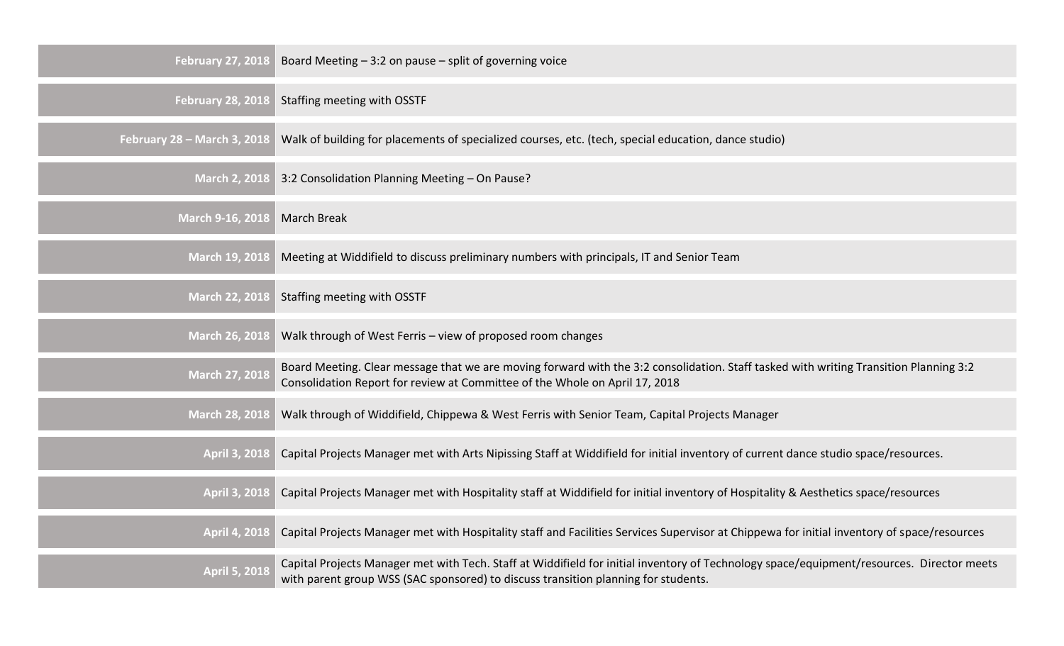| <b>February 27, 2018</b>    | Board Meeting $-3:2$ on pause $-$ split of governing voice                                                                                                                                                                      |
|-----------------------------|---------------------------------------------------------------------------------------------------------------------------------------------------------------------------------------------------------------------------------|
| <b>February 28, 2018</b>    | Staffing meeting with OSSTF                                                                                                                                                                                                     |
| February 28 - March 3, 2018 | Walk of building for placements of specialized courses, etc. (tech, special education, dance studio)                                                                                                                            |
| <b>March 2, 2018</b>        | 3:2 Consolidation Planning Meeting - On Pause?                                                                                                                                                                                  |
| March 9-16, 2018            | <b>March Break</b>                                                                                                                                                                                                              |
| <b>March 19, 2018</b>       | Meeting at Widdifield to discuss preliminary numbers with principals, IT and Senior Team                                                                                                                                        |
| <b>March 22, 2018</b>       | Staffing meeting with OSSTF                                                                                                                                                                                                     |
| <b>March 26, 2018</b>       | Walk through of West Ferris - view of proposed room changes                                                                                                                                                                     |
| <b>March 27, 2018</b>       | Board Meeting. Clear message that we are moving forward with the 3:2 consolidation. Staff tasked with writing Transition Planning 3:2<br>Consolidation Report for review at Committee of the Whole on April 17, 2018            |
| <b>March 28, 2018</b>       | Walk through of Widdifield, Chippewa & West Ferris with Senior Team, Capital Projects Manager                                                                                                                                   |
| <b>April 3, 2018</b>        | Capital Projects Manager met with Arts Nipissing Staff at Widdifield for initial inventory of current dance studio space/resources.                                                                                             |
| <b>April 3, 2018</b>        | Capital Projects Manager met with Hospitality staff at Widdifield for initial inventory of Hospitality & Aesthetics space/resources                                                                                             |
| <b>April 4, 2018</b>        | Capital Projects Manager met with Hospitality staff and Facilities Services Supervisor at Chippewa for initial inventory of space/resources                                                                                     |
| <b>April 5, 2018</b>        | Capital Projects Manager met with Tech. Staff at Widdifield for initial inventory of Technology space/equipment/resources. Director meets<br>with parent group WSS (SAC sponsored) to discuss transition planning for students. |